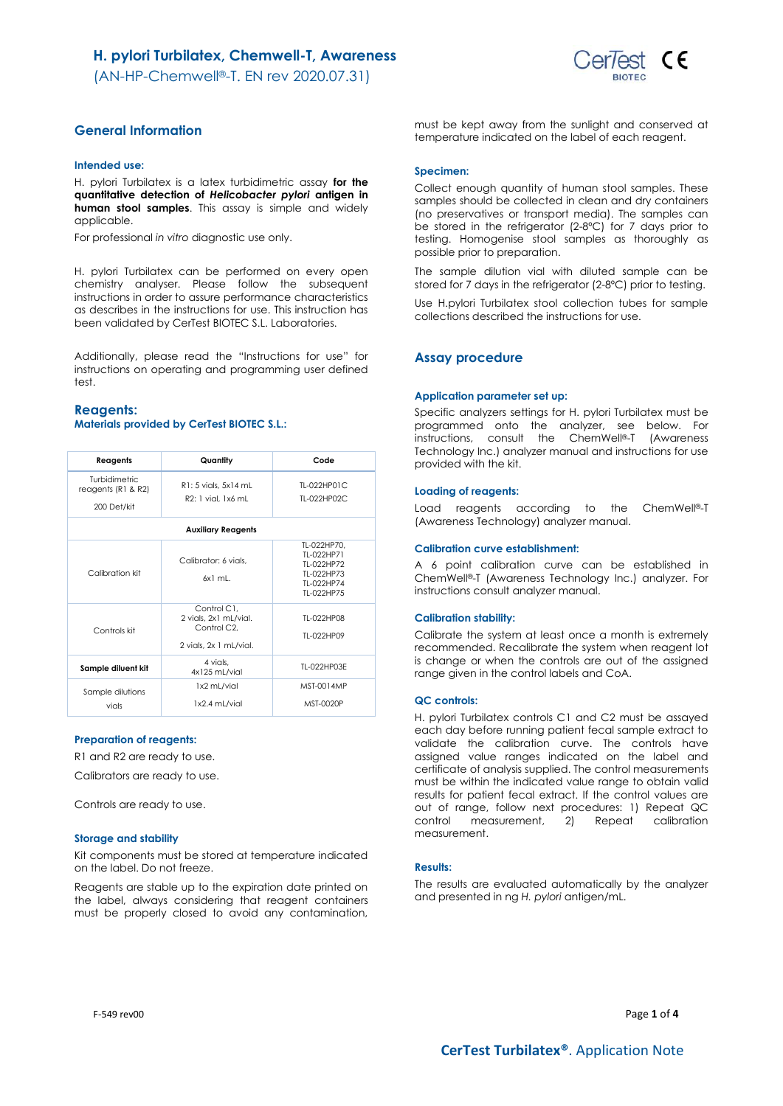

# **General Information**

### **Intended use:**

H. pylori Turbilatex is a latex turbidimetric assay **for the quantitative detection of** *Helicobacter pylori* **antigen in human stool samples**. This assay is simple and widely applicable.

For professional *in vitro* diagnostic use only.

H. pylori Turbilatex can be performed on every open chemistry analyser. Please follow the subsequent instructions in order to assure performance characteristics as describes in the instructions for use. This instruction has been validated by CerTest BIOTEC S.L. Laboratories.

Additionally, please read the "Instructions for use" for instructions on operating and programming user defined test.

### **Reagents:**

### **Materials provided by CerTest BIOTEC S.L.:**

| Reagents                                             | Quantity                                                                                   | Code                                                                              |  |  |
|------------------------------------------------------|--------------------------------------------------------------------------------------------|-----------------------------------------------------------------------------------|--|--|
| Turbidimetric<br>reagents $(R1 & R2)$<br>200 Det/kit | R1: 5 vials, 5x14 mL<br>R2: 1 vial, 1x6 mL                                                 | TI-022HP01C<br>TI-022HP02C                                                        |  |  |
| <b>Auxiliary Reagents</b>                            |                                                                                            |                                                                                   |  |  |
| Calibration kit                                      | Calibrator: 6 vials.<br>6x1 ml                                                             | TL-022HP70.<br>TI-022HP71<br>TI-022HP72<br>TI-022HP73<br>TI-022HP74<br>TI-022HP75 |  |  |
| Controls kit                                         | Control C1,<br>2 vials, 2x1 mL/vial.<br>Control C <sub>2</sub> .<br>2 vials, 2x 1 mL/vial. | TI-022HP08<br>TI-022HP09                                                          |  |  |
| Sample diluent kit                                   | 4 vials.<br>4x125 mL/vial                                                                  | TL-022HP03E                                                                       |  |  |
| Sample dilutions<br>vials                            | 1x2 mL/vial<br>1x2.4 mL/vial                                                               | MST-0014MP<br>MST-0020P                                                           |  |  |

#### **Preparation of reagents:**

R1 and R2 are ready to use.

Calibrators are ready to use.

Controls are ready to use.

#### **Storage and stability**

Kit components must be stored at temperature indicated on the label. Do not freeze.

Reagents are stable up to the expiration date printed on the label, always considering that reagent containers must be properly closed to avoid any contamination,

must be kept away from the sunlight and conserved at temperature indicated on the label of each reagent.

#### **Specimen:**

Collect enough quantity of human stool samples. These samples should be collected in clean and dry containers (no preservatives or transport media). The samples can be stored in the refrigerator (2-8ºC) for 7 days prior to testing. Homogenise stool samples as thoroughly as possible prior to preparation.

The sample dilution vial with diluted sample can be stored for 7 days in the refrigerator (2-8ºC) prior to testing.

Use H.pylori Turbilatex stool collection tubes for sample collections described the instructions for use.

#### **Assay procedure**

#### **Application parameter set up:**

Specific analyzers settings for H. pylori Turbilatex must be programmed onto the analyzer, see below. For instructions, consult the ChemWell®-T (Awareness Technology Inc.) analyzer manual and instructions for use provided with the kit.

#### **Loading of reagents:**

Load reagents according to the ChemWell®-T (Awareness Technology) analyzer manual.

#### **Calibration curve establishment:**

A 6 point calibration curve can be established in ChemWell®-T (Awareness Technology Inc.) analyzer. For instructions consult analyzer manual.

#### **Calibration stability:**

Calibrate the system at least once a month is extremely recommended. Recalibrate the system when reagent lot is change or when the controls are out of the assigned range given in the control labels and CoA.

#### **QC controls:**

H. pylori Turbilatex controls C1 and C2 must be assayed each day before running patient fecal sample extract to validate the calibration curve. The controls have assigned value ranges indicated on the label and certificate of analysis supplied. The control measurements must be within the indicated value range to obtain valid results for patient fecal extract. If the control values are out of range, follow next procedures: 1) Repeat QC control measurement, 2) Repeat calibration measurement.

### **Results:**

The results are evaluated automatically by the analyzer and presented in ng *H. pylori* antigen/mL.

F-549 rev00 Page **1** of **4**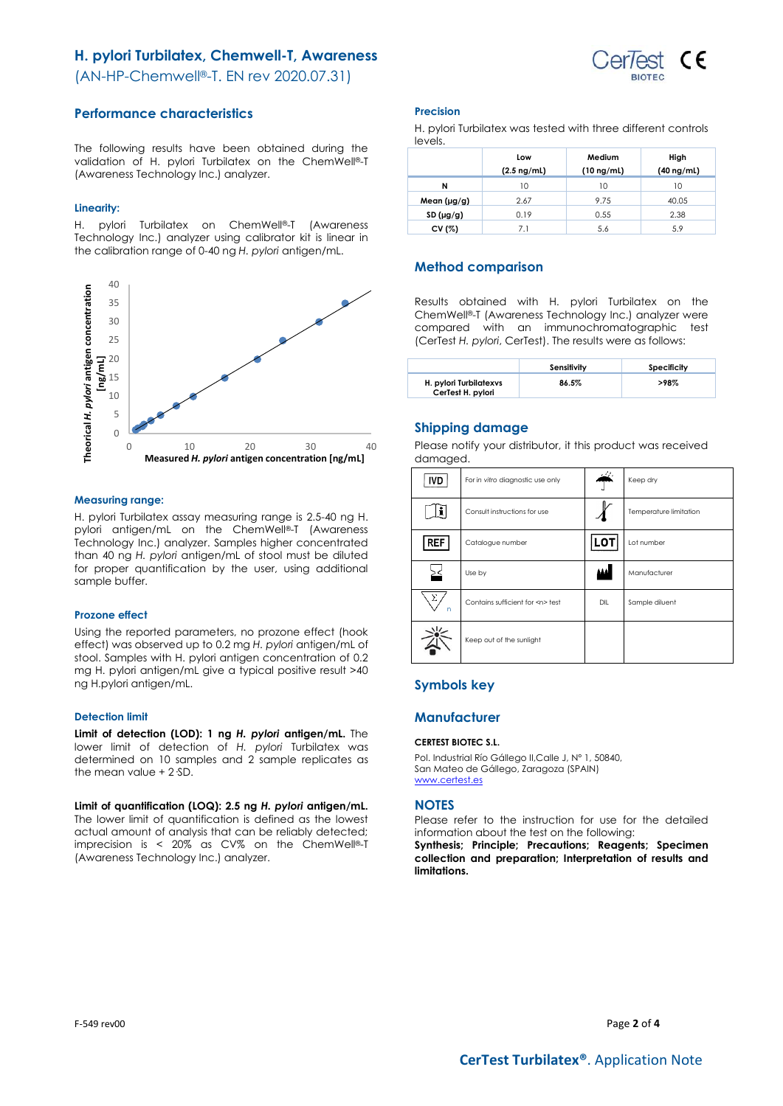# **H. pylori Turbilatex, Chemwell-T, Awareness**



(AN-HP-Chemwell®-T. EN rev 2020.07.31)

# **Performance characteristics**

The following results have been obtained during the validation of H. pylori Turbilatex on the ChemWell®-T (Awareness Technology Inc.) analyzer.

### **Linearity:**

H. pylori Turbilatex on ChemWell®-T (Awareness Technology Inc.) analyzer using calibrator kit is linear in the calibration range of 0-40 ng *H. pylori* antigen/mL.



### **Measuring range:**

H. pylori Turbilatex assay measuring range is 2.5-40 ng H. pylori antigen/mL on the ChemWell®-T (Awareness Technology Inc.) analyzer. Samples higher concentrated than 40 ng *H. pylori* antigen/mL of stool must be diluted for proper quantification by the user, using additional sample buffer.

### **Prozone effect**

Using the reported parameters, no prozone effect (hook effect) was observed up to 0.2 mg *H. pylori* antigen/mL of stool. Samples with H. pylori antigen concentration of 0.2 mg H. pylori antigen/mL give a typical positive result >40 ng H.pylori antigen/mL.

### **Detection limit**

**Limit of detection (LOD): 1 ng** *H. pylori* **antigen/mL.** The lower limit of detection of *H. pylori* Turbilatex was determined on 10 samples and 2 sample replicates as the mean value + 2·SD.

**Limit of quantification (LOQ): 2.5 ng** *H. pylori* **antigen/mL.** The lower limit of quantification is defined as the lowest actual amount of analysis that can be reliably detected; imprecision is < 20% as CV% on the ChemWell ®-T (Awareness Technology Inc.) analyzer.

## **Precision**

H. pylori Turbilatex was tested with three different controls levels.

|                  | Low              | Medium          | High            |
|------------------|------------------|-----------------|-----------------|
|                  | $(2.5 \nmid mL)$ | $(10 \nmid mL)$ | $(40 \nmid mL)$ |
| N                | 10               | 10              | 10              |
| Mean $(\mu g/g)$ | 2.67             | 9.75            | 40.05           |
| SD(µg/g)         | 0.19             | 0.55            | 2.38            |
| CV (%)           | 7.1              | 5.6             | 5.9             |

# **Method comparison**

Results obtained with H. pylori Turbilatex on the ChemWell®-T (Awareness Technology Inc.) analyzer were compared with an immunochromatographic test (CerTest *H. pylori*, CerTest). The results were as follows:

|                                             | Sensitivity | Specificity |
|---------------------------------------------|-------------|-------------|
| H. pylori Turbilatexys<br>CerTest H. pylori | 86.5%       | $>98\%$     |

# **Shipping damage**

Please notify your distributor, it this product was received damaged.

| <b>IVD</b> | For in vitro diagnostic use only     |       | Keep dry               |
|------------|--------------------------------------|-------|------------------------|
|            | Consult instructions for use         |       | Temperature limitation |
| REF        | Catalogue number                     | LOT   | Lot number             |
|            | Use by                               | الفقط | Manufacturer           |
| Σ<br>n     | Contains sufficient for <n> test</n> | DIL   | Sample diluent         |
|            | Keep out of the sunlight             |       |                        |

# **Symbols key**

## **Manufacturer**

### **CERTEST BIOTEC S.L.**

Pol. Industrial Río Gállego II,Calle J, Nº 1, 50840, San Mateo de Gállego, Zaragoza (SPAIN) [www.certest.es](http://www.certest.es/)

### **NOTES**

Please refer to the instruction for use for the detailed information about the test on the following:

**Synthesis; Principle; Precautions; Reagents; Specimen collection and preparation; Interpretation of results and limitations.**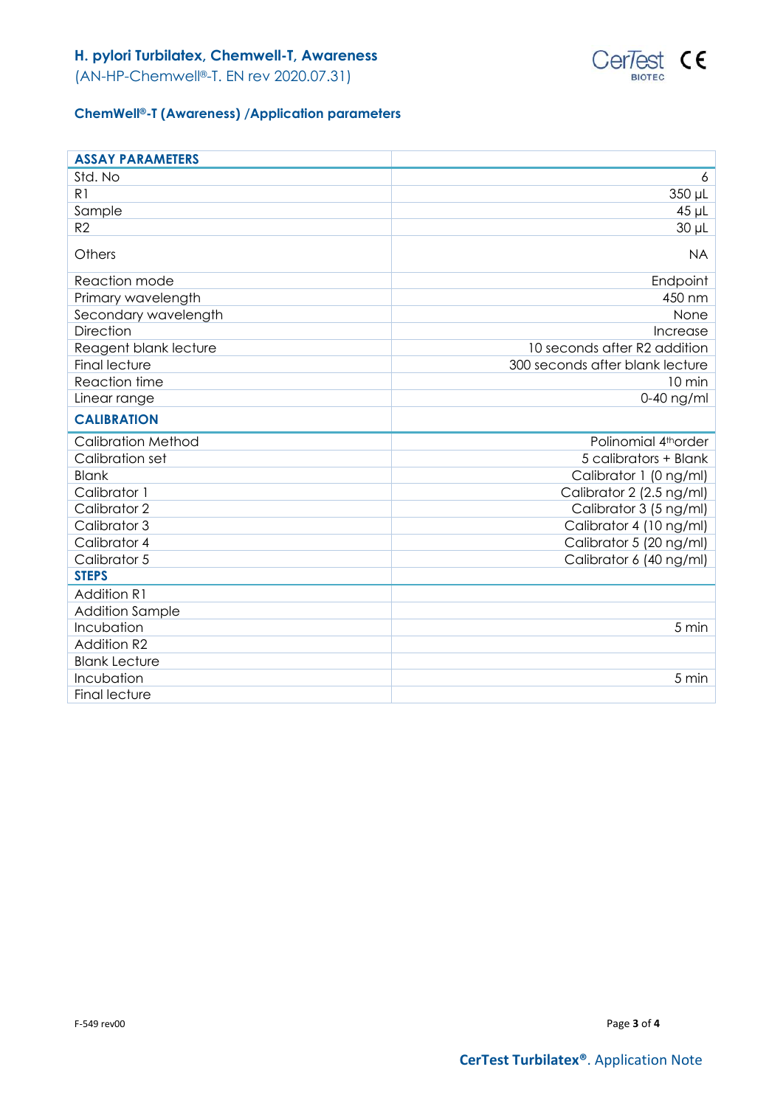

(AN-HP-Chemwell®-T. EN rev 2020.07.31)

# **ChemWell®-T (Awareness) /Application parameters**

| <b>ASSAY PARAMETERS</b>   |                                 |
|---------------------------|---------------------------------|
| Std. No                   | 6                               |
| R <sub>1</sub>            | 350 µL                          |
| Sample                    | $45$ µL                         |
| R <sub>2</sub>            | $30 \mu L$                      |
| Others                    | <b>NA</b>                       |
| Reaction mode             | Endpoint                        |
| Primary wavelength        | 450 nm                          |
| Secondary wavelength      | None                            |
| <b>Direction</b>          | Increase                        |
| Reagent blank lecture     | 10 seconds after R2 addition    |
| <b>Final lecture</b>      | 300 seconds after blank lecture |
| Reaction time             | 10 min                          |
| Linear range              | $0-40$ ng/ml                    |
| <b>CALIBRATION</b>        |                                 |
| <b>Calibration Method</b> | Polinomial 4thorder             |
| Calibration set           | 5 calibrators + Blank           |
| <b>Blank</b>              | Calibrator 1 (0 ng/ml)          |
| Calibrator 1              | Calibrator 2 (2.5 ng/ml)        |
| Calibrator 2              | Calibrator 3 (5 ng/ml)          |
| Calibrator 3              | Calibrator 4 (10 ng/ml)         |
| Calibrator 4              | Calibrator 5 (20 ng/ml)         |
| Calibrator 5              | Calibrator 6 (40 ng/ml)         |
| <b>STEPS</b>              |                                 |
| <b>Addition R1</b>        |                                 |
| <b>Addition Sample</b>    |                                 |
| Incubation                | 5 min                           |
| <b>Addition R2</b>        |                                 |
| <b>Blank Lecture</b>      |                                 |
| Incubation                | 5 min                           |
| <b>Final lecture</b>      |                                 |